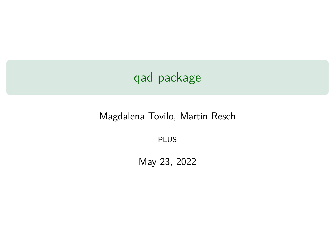# <span id="page-0-0"></span>qad package

Magdalena Tovilo, Martin Resch

PLUS

May 23, 2022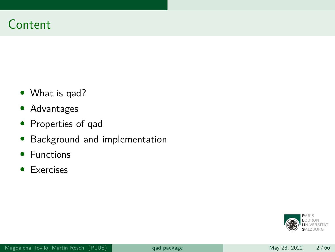### Content

- What is qad?
- Advantages
- Properties of qad
- Background and implementation
- Functions
- Exercises

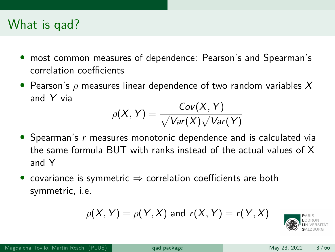# What is gad?

- most common measures of dependence: Pearson's and Spearman's correlation coefficients
- Pearson's *ρ* measures linear dependence of two random variables X and Y via

$$
\rho(X, Y) = \frac{Cov(X, Y)}{\sqrt{Var(X)}\sqrt{Var(Y)}}
$$

- Spearman's r measures monotonic dependence and is calculated via the same formula BUT with ranks instead of the actual values of X and Y
- covariance is symmetric  $\Rightarrow$  correlation coefficients are both symmetric, i.e.

$$
\rho(X, Y) = \rho(Y, X) \text{ and } r(X, Y) = r(Y, X)
$$

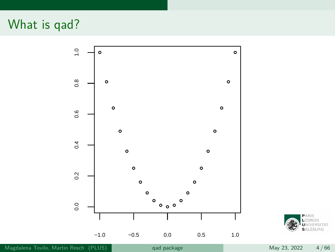# What is qad?



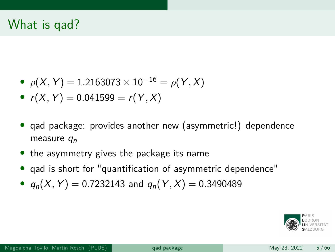# What is gad?

 $\rho(X, Y) = 1.2163073 \times 10^{-16} = \rho(Y, X)$ 

• 
$$
r(X, Y) = 0.041599 = r(Y, X)
$$

- qad package: provides another new (asymmetric!) dependence measure  $q_n$
- the asymmetry gives the package its name
- qad is short for "quantification of asymmetric dependence"
- $q_n(X, Y) = 0.7232143$  and  $q_n(Y, X) = 0.3490489$

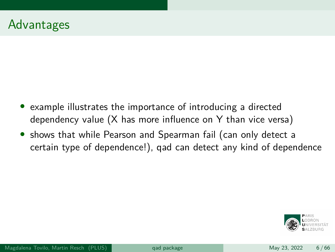# Advantages

- example illustrates the importance of introducing a directed dependency value (X has more influence on Y than vice versa)
- shows that while Pearson and Spearman fail (can only detect a certain type of dependence!), qad can detect any kind of dependence

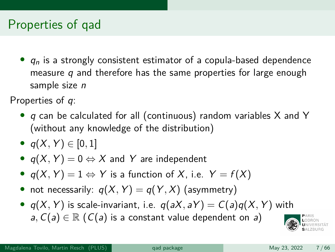# Properties of qad

•  $q_n$  is a strongly consistent estimator of a copula-based dependence measure  $q$  and therefore has the same properties for large enough sample size n

Properties of q:

- q can be calculated for all (continuous) random variables X and Y (without any knowledge of the distribution)
- $q(X, Y) \in [0, 1]$
- $q(X, Y) = 0 \Leftrightarrow X$  and Y are independent
- $q(X, Y) = 1 \Leftrightarrow Y$  is a function of X, i.e.  $Y = f(X)$
- not necessarily:  $q(X, Y) = q(Y, X)$  (asymmetry)
- $q(X, Y)$  is scale-invariant, i.e.  $q(aX, aY) = C(a)q(X, Y)$  with  $a, C(a) \in \mathbb{R}$  (C(a) is a constant value dependent on a)

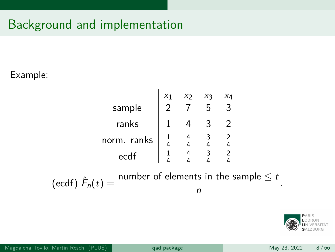#### Example:

|             | X <sub>1</sub> | X <sub>2</sub> | X٩ | XΔ            |  |
|-------------|----------------|----------------|----|---------------|--|
| sample      | 2              |                | 5  |               |  |
| ranks       |                |                |    | 2             |  |
| norm. ranks | $\frac{1}{4}$  |                |    | $\frac{2}{4}$ |  |
| ecdf        |                |                |    | 2             |  |

(ecdf)  $\hat{F}_n(t) = \frac{\text{number of elements in the sample} \leq t}{\hat{r}}$ . n

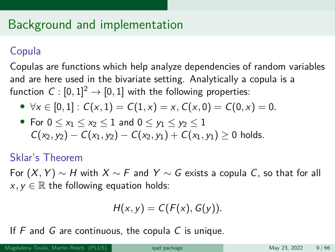### Copula

Copulas are functions which help analyze dependencies of random variables and are here used in the bivariate setting. Analytically a copula is a function  $C: [0,1]^2 \to [0,1]$  with the following properties:

• 
$$
\forall x \in [0,1]: C(x,1) = C(1,x) = x, C(x,0) = C(0,x) = 0.
$$

• For 
$$
0 \le x_1 \le x_2 \le 1
$$
 and  $0 \le y_1 \le y_2 \le 1$   
 $C(x_2, y_2) - C(x_1, y_2) - C(x_2, y_1) + C(x_1, y_1) \ge 0$  holds.

#### Sklar's Theorem

For  $(X, Y) \sim H$  with  $X \sim F$  and  $Y \sim G$  exists a copula C, so that for all  $x, y \in \mathbb{R}$  the following equation holds:

$$
H(x,y)=C(F(x),G(y)).
$$

If  $F$  and  $G$  are continuous, the copula  $C$  is unique.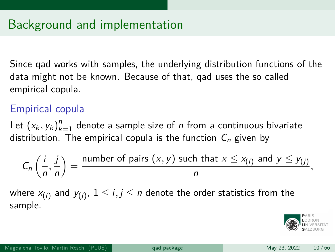Since qad works with samples, the underlying distribution functions of the data might not be known. Because of that, qad uses the so called empirical copula.

### Empirical copula

Let  $(x_k, y_k)_k^n$  $\binom{n}{k=1}$  denote a sample size of n from a continuous bivariate distribution. The empirical copula is the function  $C_n$  given by

$$
C_n\left(\frac{i}{n},\frac{j}{n}\right)=\frac{\text{number of pairs }(x,y) \text{ such that } x \leq x_{(i)} \text{ and } y \leq y_{(j)}}{n},
$$

where  $\mathsf{x}_{(i)}$  and  $\mathsf{y}_{(j)},\ 1\leq i,j\leq n$  denote the order statistics from the sample.

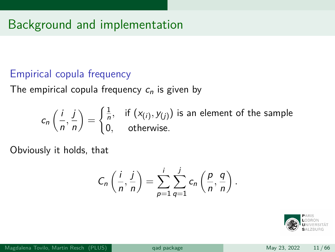### Empirical copula frequency

The empirical copula frequency  $c_n$  is given by

$$
c_n\left(\frac{i}{n},\frac{j}{n}\right) = \begin{cases} \frac{1}{n}, & \text{if } (x_{(i)}, y_{(j)}) \text{ is an element of the sample} \\ 0, & \text{otherwise.} \end{cases}
$$

Obviously it holds, that

$$
C_n\left(\frac{i}{n},\frac{j}{n}\right)=\sum_{p=1}^i\sum_{q=1}^j c_n\left(\frac{p}{n},\frac{q}{n}\right).
$$

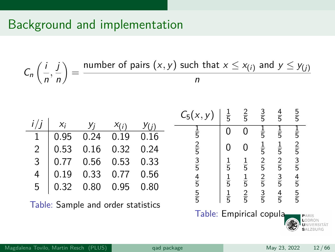|                | $C_n\left(\frac{I}{n},\frac{j}{n}\right) =$ |      |      |           | number of pairs $(x, y)$ such that $x \leq x_{(i)}$ and $y \leq y_{(i)}$ |                             |                                                                  |                                                 |                            |               |       |
|----------------|---------------------------------------------|------|------|-----------|--------------------------------------------------------------------------|-----------------------------|------------------------------------------------------------------|-------------------------------------------------|----------------------------|---------------|-------|
|                |                                             |      |      |           | n                                                                        |                             |                                                                  |                                                 |                            |               |       |
| i/j            | $x_i$                                       | Уj   | X(i) | $y_{(i)}$ | $C_5(x, y)$                                                              | $\frac{1}{5}$ $\frac{2}{5}$ |                                                                  | $rac{3}{5}$                                     | $\frac{4}{5}$              | $\frac{5}{5}$ |       |
| $\mathbf{1}$   | 0.95                                        | 0.24 | 0.19 | 0.16      | $\frac{1}{5}$                                                            | 0                           | $\mathbf 0$                                                      | $\frac{1}{5}$                                   | $\frac{1}{5}$              | $\frac{1}{5}$ |       |
| $\overline{2}$ | 0.53                                        | 0.16 | 0.32 | 0.24      | $\frac{2}{5}$                                                            | $\mathbf 0$                 | $\mathbf 0$                                                      | $\frac{1}{5}$                                   | $\frac{1}{5}$              | $\frac{2}{5}$ |       |
| $\mathbf{3}$   | 0.77                                        | 0.56 | 0.53 | 0.33      |                                                                          | $\frac{1}{5}$               |                                                                  |                                                 | $rac{2}{5}$<br>$rac{3}{5}$ | $\frac{3}{5}$ |       |
| $\overline{4}$ | 0.19                                        | 0.33 | 0.77 | 0.56      |                                                                          | $\frac{1}{5}$               |                                                                  |                                                 |                            | $\frac{4}{5}$ |       |
| 5              | 0.32                                        | 0.80 | 0.95 | 0.80      | $\frac{3}{5}$ $\frac{4}{5}$ $\frac{5}{5}$                                | $\frac{1}{5}$               | $\frac{1}{5}$<br>$\frac{1}{5}$<br>$\frac{2}{5}$<br>$\frac{2}{5}$ | $\frac{2}{5}$<br>$\frac{3}{5}$<br>$\frac{3}{5}$ | $\frac{4}{5}$              | $rac{5}{5}$   |       |
|                | Table: Sample and order statistics          |      |      |           |                                                                          |                             |                                                                  |                                                 |                            |               |       |
|                |                                             |      |      |           | Table: Empirical copula                                                  |                             |                                                                  |                                                 |                            |               | PARIS |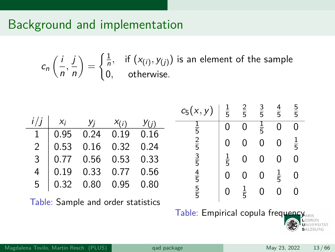$c_n\left(\frac{i}{i}\right)$  $\frac{i}{n}, \frac{j}{n}$ n  $=$  $\int \frac{1}{n}$ , if  $(x_{(i)}, y_{(j)})$  is an element of the sample *,* otherwise.

|                |               |                                    |             |           | $c_5(x, y)$   |               |               | $\frac{1}{5}$ $\frac{2}{5}$ $\frac{3}{5}$ | $\frac{4}{5}$ | $\frac{5}{5}$ |
|----------------|---------------|------------------------------------|-------------|-----------|---------------|---------------|---------------|-------------------------------------------|---------------|---------------|
|                | $X_i$         | $y_j$                              | X(i)        | $y_{(j)}$ |               |               | 0             |                                           |               |               |
| 1              | 0.95          | 0.24                               | 0.19        | 0.16      |               |               |               | $\frac{1}{5}$                             |               |               |
| $2^{\circ}$    | 0.53          | 0.16  0.32  0.24                   |             |           | $\frac{2}{5}$ | 0             | 0             | 0                                         | 0             | $\frac{1}{5}$ |
| 3 <sup>7</sup> | 0.77          | 0.56                               | 0.53 0.33   |           | $rac{3}{5}$   | $\frac{1}{5}$ | 0             |                                           |               | 0             |
|                | $4 \mid 0.19$ | 0.33 0.77 0.56                     |             |           | $\frac{4}{5}$ | 0             |               | $\mathbf{0}$                              | $\frac{1}{5}$ |               |
| 5 <sup>5</sup> | 0.32          | 0.80                               | $0.95$ 0.80 |           |               |               |               |                                           |               |               |
|                |               | Table: Sample and order statistics |             |           | $\frac{5}{5}$ | 0             | $\frac{1}{5}$ | $\mathbf 0$                               |               |               |

Table: Empirical copula frequen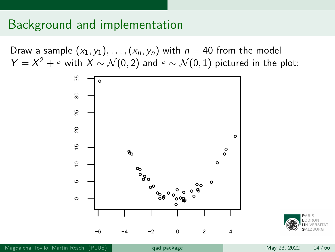Draw a sample  $(x_1, y_1), \ldots, (x_n, y_n)$  with  $n = 40$  from the model  $Y = X^2 + \varepsilon$  with  $X \sim \mathcal{N}(0, 2)$  and  $\varepsilon \sim \mathcal{N}(0, 1)$  pictured in the plot:



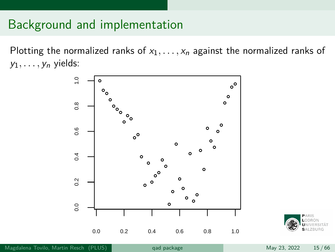Plotting the normalized ranks of  $x_1, \ldots, x_n$  against the normalized ranks of  $y_1, \ldots, y_n$  yields:



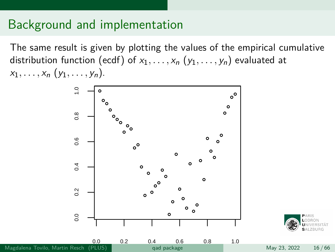The same result is given by plotting the values of the empirical cumulative distribution function (ecdf) of  $x_1, \ldots, x_n$  ( $y_1, \ldots, y_n$ ) evaluated at  $x_1, \ldots, x_n$   $(y_1, \ldots, y_n)$ .



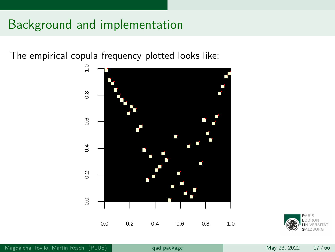The empirical copula frequency plotted looks like:



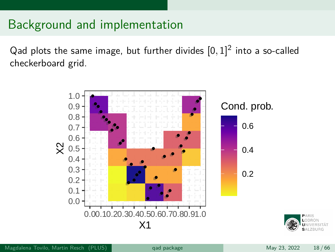Qad plots the same image, but further divides  $[0,1]^2$  into a so-called checkerboard grid.



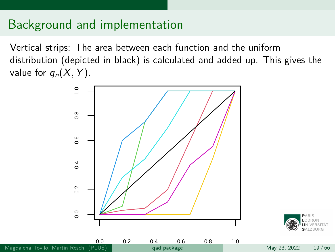Vertical strips: The area between each function and the uniform distribution (depicted in black) is calculated and added up. This gives the value for  $q_n(X, Y)$ .

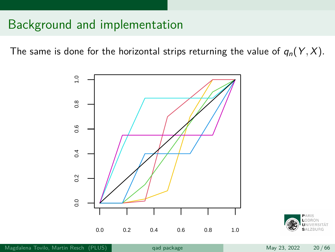The same is done for the horizontal strips returning the value of  $q_n(Y, X)$ .



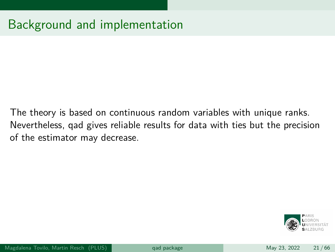The theory is based on continuous random variables with unique ranks. Nevertheless, qad gives reliable results for data with ties but the precision of the estimator may decrease.

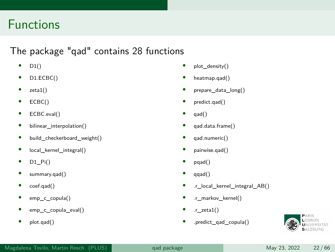#### The package "qad" contains 28 functions

- $\bullet$  D<sub>1</sub>()
- D1.ECBC()
- $\bullet$  zeta $1()$
- ECBC()
- ECBC.eval()
- bilinear\_interpolation()
- build checkerboard weight()
- local\_kernel\_integral()
- $\bullet$  D1\_Pi()
- summary.qad()
- coef.qad()
- emp\_c\_copula()
- emp\_c\_copula\_eval()
- plot.qad()
- plot\_density()
- heatmap.qad()
- prepare\_data\_long()
- predict.qad()
- qad()
- qad.data.frame()
- qad.numeric()
- pairwise.gad()
- pqad()
- qqad()
- .r\_local\_kernel\_integral\_AB()
- .r\_markov\_kernel()
- $.r\_zeta($
- .predict\_qad\_copula()

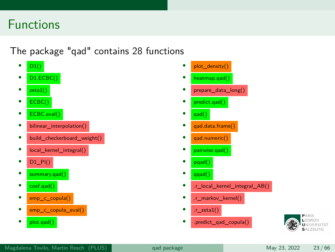The package "qad" contains 28 functions

- $\bullet$  D<sub>1</sub>()
- $\bullet$  D1.ECBC()
- zeta1()
- $\bullet$  ECBC()
- ECBC.eval()
- bilinear\_interpolation()
- build checkerboard weight()
- local\_kernel\_integral()
- $\bullet$  D<sub>1</sub> $\right|$ Pi()
- summary.qad()
- $\bullet$   $coef.$  qad $()$
- emp\_c\_copula()
- emp\_c\_copula\_eval()
- $\bullet$  plot.gad()



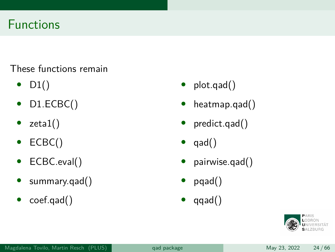#### These functions remain

- $\bullet$  D<sub>1</sub>()
- D1.ECBC()
- $zeta($
- $ECBC()$
- ECBC.eval()
- summary.qad()
- coef.qad()
- plot.qad()
- heatmap.qad()
- predict.qad()
- qad()
- pairwise.qad()
- pqad()
- qqad()

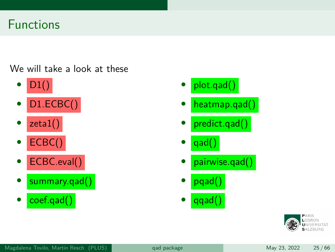#### We will take a look at these

- $\bullet$  D1()
- D1.ECBC()
- $zeta($
- ECBC()
- ECBC.eval()
- summary.qad()
- $coef(qad()$
- plot.qad()
- heatmap.qad()
- predict.qad()
- $qad()$
- pairwise.qad()
- $pqad()$
- qqad()

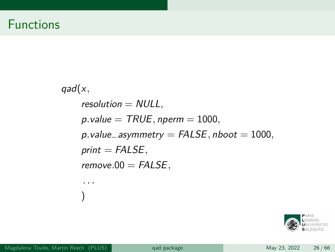qad(x*,* resolution = NULL*,*  $p$ *, value* = TRUE*, nperm* = 1000*,* p*.*value−asymmetry = FALSE*,* nboot = 1000*,* print = FALSE*,* remove*.*00 = FALSE*, . . .* )

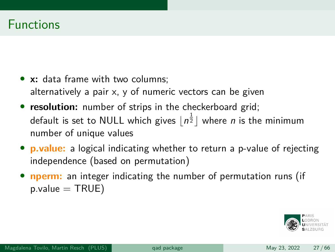- **x:** data frame with two columns; alternatively a pair x, y of numeric vectors can be given
- **resolution:** number of strips in the checkerboard grid; default is set to NULL which gives  $\lfloor n^{\frac{1}{2}} \rfloor$  where  $n$  is the minimum number of unique values
- **p.value:** a logical indicating whether to return a p-value of rejecting independence (based on permutation)
- **nperm:** an integer indicating the number of permutation runs (if  $p.value = TRUE$ )

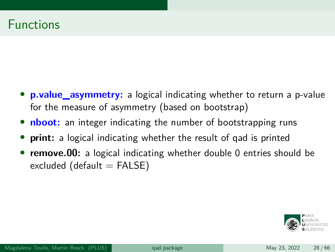- **p.value\_asymmetry:** a logical indicating whether to return a p-value for the measure of asymmetry (based on bootstrap)
- **nboot:** an integer indicating the number of bootstrapping runs
- **print:** a logical indicating whether the result of gad is printed
- **remove.00:** a logical indicating whether double 0 entries should be excluded (default  $=$  FALSE)

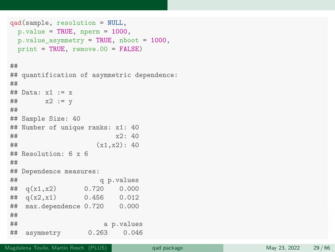```
qad(sample, resolution = NULL,
 p.value = TRUE, nperm = 1000,
 p.value_asymmetry = TRUE, nboot = 1000,
 print = TRUE, remove.00 = FALSE)
##
## quantification of asymmetric dependence:
##
## Data: x1 := x## x2 := y##
## Sample Size: 40
## Number of unique ranks: x1: 40
## x2: 40\# (x1, x2): 40## Resolution: 6 x 6
##
## Dependence measures:
## q p.values
\## q(x1,x2) 0.720 0.000
## q(x2,x1) 0.456 0.012
## max.dependence 0.720 0.000
##
## a p.values
## asymmetry 0.263 0.046
```

```
Magdalena Tovilo, Martin Resch (PLUS) qad package May 23, 2022 29/66
```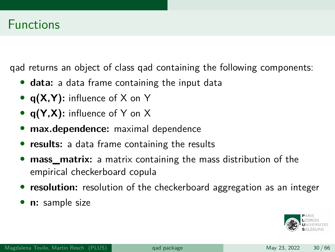qad returns an object of class qad containing the following components:

- **data:** a data frame containing the input data
- **q(X,Y):** influence of X on Y
- **q(Y,X):** influence of Y on X
- **max.dependence:** maximal dependence
- **results:** a data frame containing the results
- **mass\_matrix:** a matrix containing the mass distribution of the empirical checkerboard copula
- **resolution:** resolution of the checkerboard aggregation as an integer
- **n:** sample size

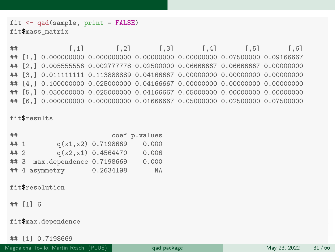fit <- **qad**(sample, print = FALSE) fit\$mass\_matrix

## [,1] [,2] [,3] [,4] [,5] [,6] ## [1,] 0.000000000 0.000000000 0.00000000 0.00000000 0.07500000 0.09166667 ## [2,] 0.005555556 0.002777778 0.02500000 0.06666667 0.06666667 0.00000000 ## [3,] 0.011111111 0.113888889 0.04166667 0.00000000 0.00000000 0.00000000 ## [4,] 0.100000000 0.025000000 0.04166667 0.00000000 0.00000000 0.00000000 ## [5,] 0.050000000 0.025000000 0.04166667 0.05000000 0.00000000 0.00000000 ## [6,] 0.000000000 0.000000000 0.01666667 0.05000000 0.02500000 0.07500000

fit\$results

| ##   |                          |                       | coef p.values |
|------|--------------------------|-----------------------|---------------|
| ## 1 |                          | $q(x1, x2)$ 0.7198669 | 0.000         |
| ## 2 |                          | $q(x2,x1)$ 0.4564470  | 0.006         |
| ##3  | max.dependence 0.7198669 |                       | 0.000         |
|      | ## 4 asymmetry           | 0.2634198             | <b>NA</b>     |

fit\$resolution

## [1] 6

fit\$max.dependence

## [1] 0.7198669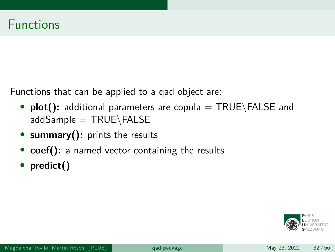Functions that can be applied to a qad object are:

- $plot()$ : additional parameters are copula  $= TRUE\$  FALSE and  $addSample = TRUE\FALSE$
- **summary():** prints the results
- **coef():** a named vector containing the results
- **predict()**

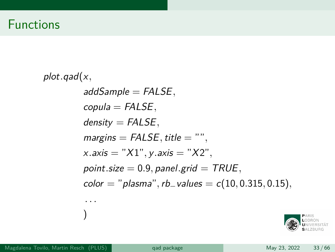plot*.*qad(x*,* addSample = FALSE*,* copula = FALSE*,* density = FALSE*,*  $margins = FALSE$ , title  $= "$ ",  $x \cdot axis = "X1", y \cdot axis = "X2",$ point*.*size = 0*.*9*,* panel*.*grid = TRUE*,*  $color = "plasma", rb_value = c(10, 0.315, 0.15),$ *. . .* )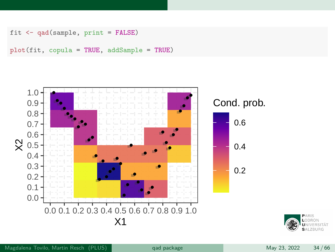fit <- **qad**(sample, print = FALSE)

**plot**(fit, copula = TRUE, addSample = TRUE)



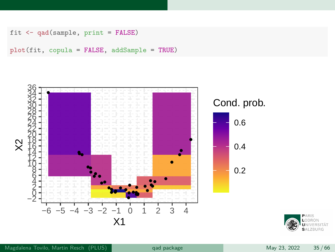fit <- **qad**(sample, print = FALSE)

**plot**(fit, copula = FALSE, addSample = TRUE)



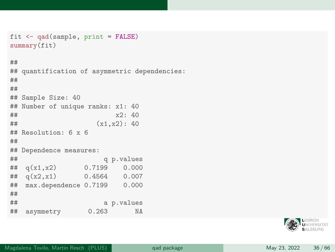```
fit <- qad(sample, print = FALSE)
summary(fit)
##
## quantification of asymmetric dependencies:
##
##
## Sample Size: 40
## Number of unique ranks: x1: 40
## x2: 40
\# (x1, x2): 40## Resolution: 6 x 6
##
## Dependence measures:
   q(x1,x2) q p.values<br>q(x1,x2) 0.7199 0.000
## q(x1,x2) 0.7199 0.000
\# g(x2,x1) 0.4564 0.007
## max.dependence 0.7199 0.000
##
                     a p.values
## asymmetry 0.263 NA
```
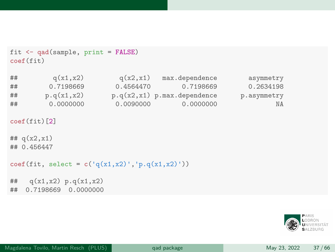```
fit <- qad(sample, print = FALSE)
coef(fit)
# q(x1,x2) q(x2,x1) max.dependence asymmetry<br>
# 0.7198669 0.4564470 0.7198669 0.2634198
## 0.7198669 0.4564470 0.7198669 0.2634198
\begin{array}{lll} # & \mathrm{p.q(x1,x2)} & \mathrm{p.q(x2,x1) p.max.dependence} & \mathrm{p.asymmetry} \\ # & 0.0000000 & 0.0090000 & 0.00000000 \end{array}## 0.0000000 0.0090000 0.0000000 NA
coef(fit)[2]
## q(x2,x1)
## 0.456447
coef(fit, select = c('q(x1,x2)','p.q(x1,x2)'))
\# q(x1,x2) p.q(x1,x2)
## 0.7198669 0.0000000
```
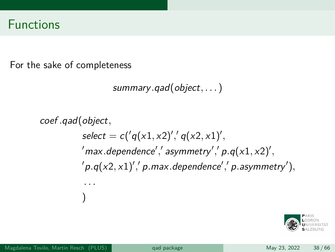For the sake of completeness

summary*.*qad(object*, . . .*)

```
coef .qad(object,
           select = c('q(x1, x2)', 'q(x2, x1)',\alpha'max.dependence',' asymmetry',' p.q(x1,x2)',
           ′
p.q(x2, x1)
′
,
′
p.max.dependence′
,
′
p.asymmetry′
),
            . . .
           )
```
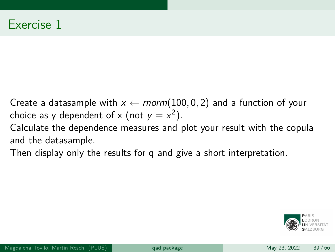Create a datasample with  $x \leftarrow \text{norm}(100, 0, 2)$  and a function of your choice as y dependent of x (not  $y = x^2$ ).

Calculate the dependence measures and plot your result with the copula and the datasample.

Then display only the results for q and give a short interpretation.

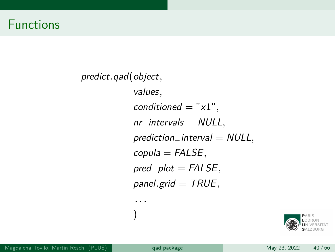predict*.*qad(object*,* values*,* conditioned  $=$  " $\times$ 1", nr−intervals = NULL*,* prediction−interval = NULL*,* copula = FALSE*,* pred−plot = FALSE*,* panel*.*grid = TRUE*,*



*. . .* )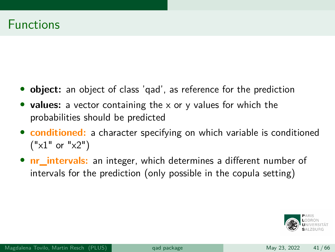- **object:** an object of class 'qad', as reference for the prediction
- **values:** a vector containing the x or y values for which the probabilities should be predicted
- **conditioned:** a character specifying on which variable is conditioned  $("x1" or "x2")$
- **nr\_intervals:** an integer, which determines a different number of intervals for the prediction (only possible in the copula setting)

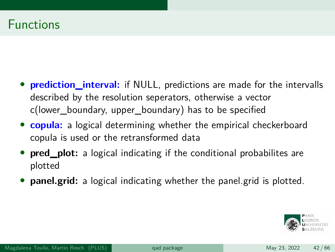- **prediction\_interval:** if NULL, predictions are made for the intervalls described by the resolution seperators, otherwise a vector c(lower\_boundary, upper\_boundary) has to be specified
- **copula:** a logical determining whether the empirical checkerboard copula is used or the retransformed data
- **pred\_plot:** a logical indicating if the conditional probabilites are plotted
- **panel.grid:** a logical indicating whether the panel.grid is plotted.

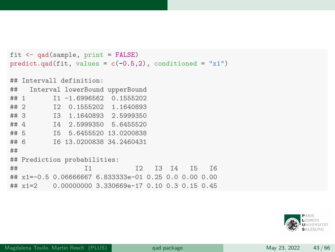```
fit <- qad(sample, print = FALSE)
predict.qad(fit, values = c(-0.5,2), conditioned = "x1")## Intervall definition:
## Interval lowerBound upperBound
       I1 -1.6996562 0.1555202
## 2 I2 0.1555202 1.1640893
## 3 I3 1.1640893 2.5999350
## 4 I4 2.5999350 5.6455520
## 5 I5 5.6455520 13.0200838
## 6 I6 13.0200838 34.2460431
##
## Prediction probabilities:
## I1 I2 I3 I4 I5 I6
## x1=-0.5 0.06666667 6.833333e-01 0.25 0.0 0.00 0.00
## x1=2 0.00000000 3.330669e-17 0.10 0.3 0.15 0.45
```
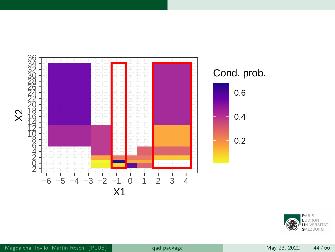



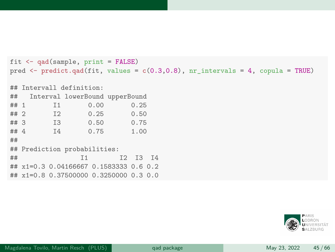```
fit <- qad(sample, print = FALSE)
pred <- predict.qad(fit, values = c(0.3,0.8), nr_intervals = 4, copula = TRUE)
## Intervall definition:
## Interval lowerBound upperBound
## 1 I1 0.00 0.25
## 2 I2 0.25 0.50
## 3 I3 0.50 0.75
## 4 I4 0.75 1.00
##
## Prediction probabilities:
                      T2 T3 T4
## x1=0.3 0.04166667 0.1583333 0.6 0.2
## x1=0.8 0.37500000 0.3250000 0.3 0.0
```
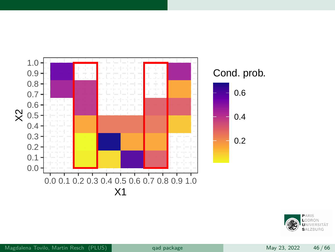

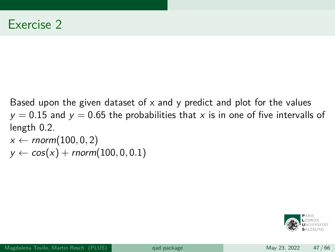Based upon the given dataset of  $\times$  and  $\times$  predict and plot for the values  $y = 0.15$  and  $y = 0.65$  the probabilities that x is in one of five intervalls of length 0*.*2.

```
x \leftarrow \text{norm}(100, 0, 2)y \leftarrow cos(x) + morm(100, 0, 0.1)
```
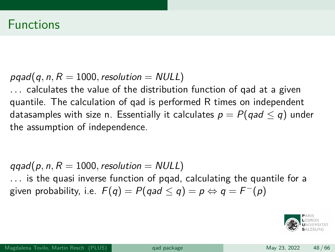$pqa$ d $(q, n, R = 1000,$  resolution  $= NULL$ 

*. . .* calculates the value of the distribution function of qad at a given quantile. The calculation of qad is performed R times on independent datasamples with size n. Essentially it calculates  $p = P(qad \leq q)$  under the assumption of independence.

 $qqad(p, n, R = 1000,$  resolution =  $NULL$ *. . .* is the quasi inverse function of pqad, calculating the quantile for a given probability, i.e.  $F(q) = P(qad \leq q) = p \Leftrightarrow q = F^{-}(p)$ 

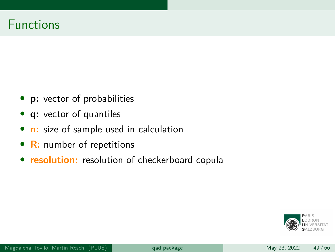- **p:** vector of probabilities
- **q:** vector of quantiles
- **n:** size of sample used in calculation
- **R:** number of repetitions
- **resolution:** resolution of checkerboard copula

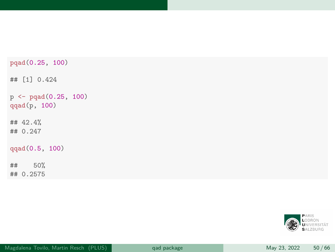```
pqad(0.25, 100)
## [1] 0.424
p <- pqad(0.25, 100)
qqad(p, 100)
## 42.4%
## 0.247
qqad(0.5, 100)
## 50%
## 0.2575
```
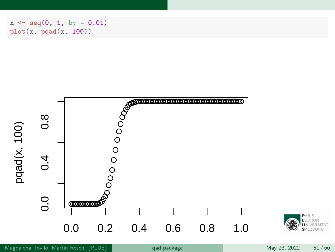```
x <- seq(0, 1, by = 0.01)
plot(x, pqad(x, 100))
```


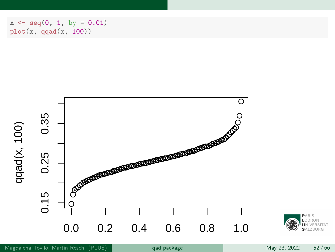```
x <- seq(0, 1, by = 0.01)
plot(x, qqad(x, 100))
```


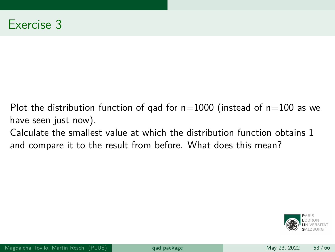Plot the distribution function of gad for  $n=1000$  (instead of  $n=100$  as we have seen just now).

Calculate the smallest value at which the distribution function obtains 1 and compare it to the result from before. What does this mean?

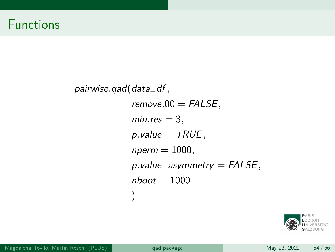pairwise*.*qad(data−df *,* remove*.*00 = FALSE*,*  $minres = 3$ , p*.*value = TRUE*,* nperm = 1000*,* p*.*value−asymmetry = FALSE*,*  $nboot = 1000$ )

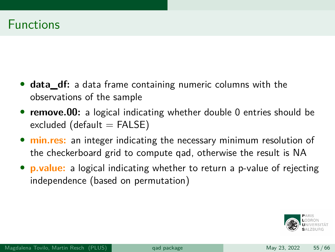- **data\_df:** a data frame containing numeric columns with the observations of the sample
- **remove.00:** a logical indicating whether double 0 entries should be excluded (default  $=$  FALSE)
- **min.res:** an integer indicating the necessary minimum resolution of the checkerboard grid to compute qad, otherwise the result is NA
- **p.value:** a logical indicating whether to return a p-value of rejecting independence (based on permutation)

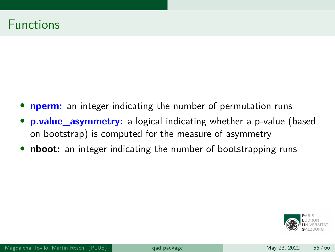- **nperm:** an integer indicating the number of permutation runs
- **p.value\_asymmetry:** a logical indicating whether a p-value (based on bootstrap) is computed for the measure of asymmetry
- **nboot:** an integer indicating the number of bootstrapping runs

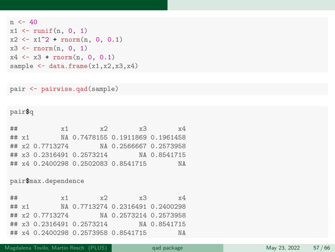$n \le -40$ x1 <- **runif**(n, 0, 1) x2 <- x1^2 + **rnorm**(n, 0, 0.1) x3 <- **rnorm**(n, 0, 1) x4 <- x3 + **rnorm**(n, 0, 0.1) sample <- **data.frame**(x1,x2,x3,x4)

pair <- **pairwise.qad**(sample)

#### pair\$q

| ## | x1                   | x2                                     | x3 | x4 |
|----|----------------------|----------------------------------------|----|----|
|    |                      | ## x1 NA 0.7478155 0.1911869 0.1961458 |    |    |
|    |                      | ## x2 0.7713274 NA 0.2566667 0.2573958 |    |    |
|    |                      | ## x3 0.2316491 0.2573214 NA 0.8541715 |    |    |
|    |                      | ## x4 0.2400298 0.2502083 0.8541715    |    | NA |
|    | pair\$max.dependence |                                        |    |    |
|    |                      |                                        |    |    |
| ## |                      | $x1$ $x2$ $x3$                         |    | x4 |
|    |                      | ## x1 NA 0.7713274 0.2316491 0.2400298 |    |    |
|    |                      | ## x2 0.7713274 NA 0.2573214 0.2573958 |    |    |
|    |                      | ## x3 0.2316491 0.2573214 NA 0.8541715 |    |    |
|    |                      | ## x4 0.2400298 0.2573958 0.8541715    |    | NA |

Magdalena Tovilo, Martin Resch (PLUS) **and package May 23, 2022** 57/66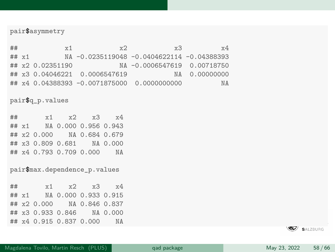pair\$asymmetry

## x1 x2 x3 x4 ## x1 NA -0.0235119048 -0.0404622114 -0.04388393 ## x2 0.02351190 NA -0.0006547619 0.00718750 ## x3 0.04046221 0.0006547619 NA 0.00000000 ## x4 0.04388393 -0.0071875000 0.0000000000 NA

pair\$q\_p.values

## x1 x2 x3 x4 ## x1 NA 0.000 0.956 0.943 ## x2 0.000 NA 0.684 0.679 ## x3 0.809 0.681 NA 0.000 ## x4 0.793 0.709 0.000 NA

pair\$max.dependence\_p.values

## x1 x2 x3 x4 ## x1 NA 0.000 0.933 0.915 ## x2 0.000 NA 0.846 0.837 ## x3 0.933 0.846 NA 0.000 ## x4 0.915 0.837 0.000 NA

**WEY SALZBURG**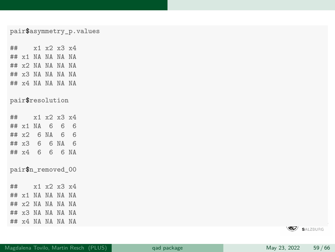pair\$asymmetry\_p.values ## x1 x2 x3 x4 ## x1 NA NA NA NA ## x2 NA NA NA NA ## x3 NA NA NA NA ## x4 NA NA NA NA pair\$resolution ## x1 x2 x3 x4 ## x1 NA 6 6 6 ## x2 6 NA 6 6 ## x3 6 6 NA 6 ## x4 6 6 6 NA pair\$n\_removed\_00 ## x1 x2 x3 x4 ## x1 NA NA NA NA ## x2 NA NA NA NA ## x3 NA NA NA NA ## x4 NA NA NA NA

**WEY SALZBURG** 

Magdalena Tovilo, Martin Resch (PLUS) **[qad package](#page-0-0) May 23, 2022** 59/66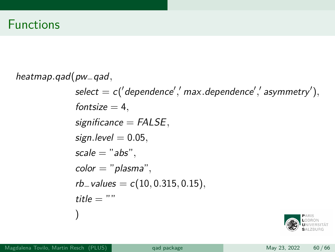heatmap*.*qad(pw−qad*,* select = c( ′ dependence′ *,* ′ max*.*dependence′ *,* ′ asymmetry′ )*,*  $fontsize = 4$ , significance = FALSE*,* sign*.*level = 0*.*05*,* scale = "abs"*,* color = "plasma"*,* rb−values = c(10*,* 0*.*315*,* 0*.*15)*,*  $title = ""$ )

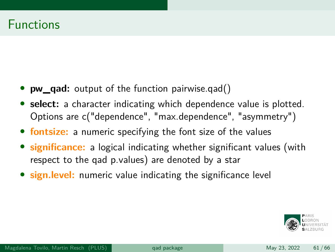- **pw gad:** output of the function pairwise.gad()
- **select:** a character indicating which dependence value is plotted. Options are c("dependence", "max.dependence", "asymmetry")
- **fontsize:** a numeric specifying the font size of the values
- **significance:** a logical indicating whether significant values (with respect to the qad p.values) are denoted by a star
- **sign.level:** numeric value indicating the significance level

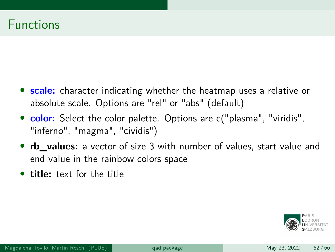- **scale:** character indicating whether the heatmap uses a relative or absolute scale. Options are "rel" or "abs" (default)
- **color:** Select the color palette. Options are c("plasma", "viridis", "inferno", "magma", "cividis")
- **rb** values: a vector of size 3 with number of values, start value and end value in the rainbow colors space
- **title:** text for the title

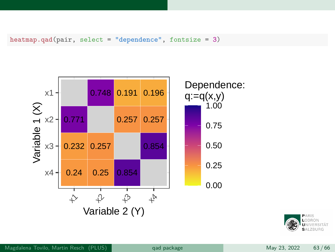**heatmap.qad**(pair, select = "dependence", fontsize = 3)



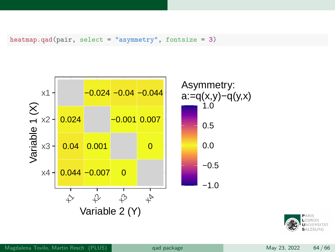**heatmap.qad**(pair, select = "asymmetry", fontsize = 3)



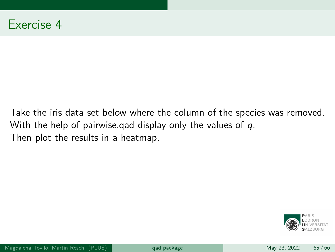Take the iris data set below where the column of the species was removed. With the help of pairwise gad display only the values of q. Then plot the results in a heatmap.